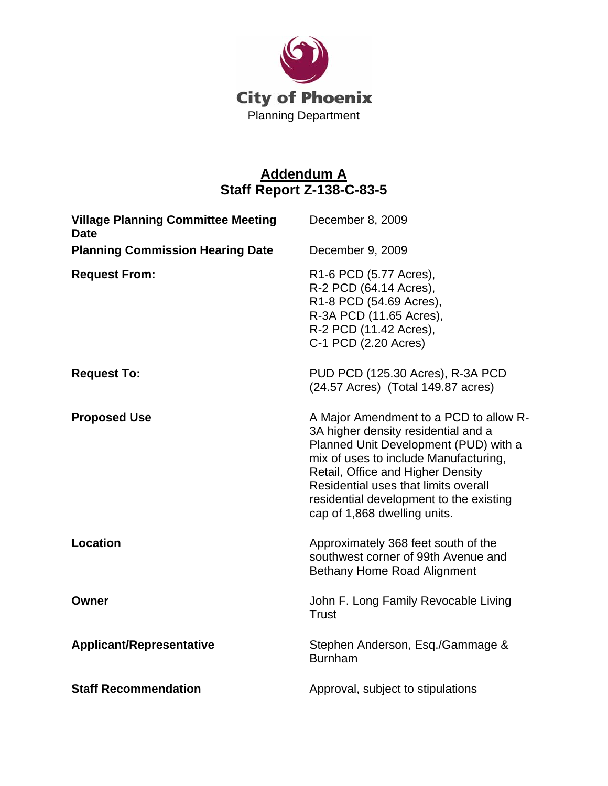

# **Addendum A Staff Report Z-138-C-83-5**

| <b>Village Planning Committee Meeting</b><br><b>Date</b> | December 8, 2009                                                                                                                                                                                                                                                                                                        |
|----------------------------------------------------------|-------------------------------------------------------------------------------------------------------------------------------------------------------------------------------------------------------------------------------------------------------------------------------------------------------------------------|
| <b>Planning Commission Hearing Date</b>                  | December 9, 2009                                                                                                                                                                                                                                                                                                        |
| <b>Request From:</b>                                     | R1-6 PCD (5.77 Acres),<br>R-2 PCD (64.14 Acres),<br>R1-8 PCD (54.69 Acres),<br>R-3A PCD (11.65 Acres),<br>R-2 PCD (11.42 Acres),<br>C-1 PCD (2.20 Acres)                                                                                                                                                                |
| <b>Request To:</b>                                       | PUD PCD (125.30 Acres), R-3A PCD<br>(24.57 Acres) (Total 149.87 acres)                                                                                                                                                                                                                                                  |
| <b>Proposed Use</b>                                      | A Major Amendment to a PCD to allow R-<br>3A higher density residential and a<br>Planned Unit Development (PUD) with a<br>mix of uses to include Manufacturing,<br>Retail, Office and Higher Density<br>Residential uses that limits overall<br>residential development to the existing<br>cap of 1,868 dwelling units. |
| <b>Location</b>                                          | Approximately 368 feet south of the<br>southwest corner of 99th Avenue and<br>Bethany Home Road Alignment                                                                                                                                                                                                               |
| Owner                                                    | John F. Long Family Revocable Living<br><b>Trust</b>                                                                                                                                                                                                                                                                    |
| <b>Applicant/Representative</b>                          | Stephen Anderson, Esq./Gammage &<br><b>Burnham</b>                                                                                                                                                                                                                                                                      |
| <b>Staff Recommendation</b>                              | Approval, subject to stipulations                                                                                                                                                                                                                                                                                       |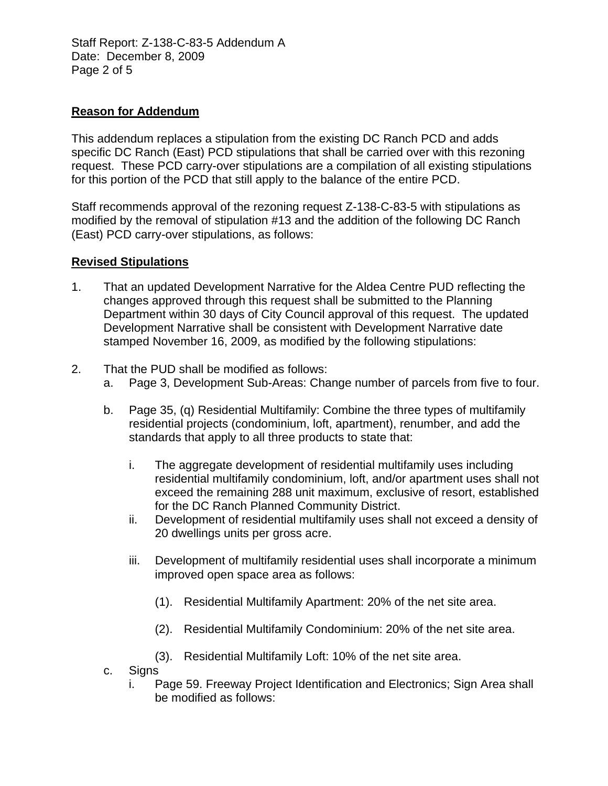Staff Report: Z-138-C-83-5 Addendum A Date: December 8, 2009 Page 2 of 5

## **Reason for Addendum**

This addendum replaces a stipulation from the existing DC Ranch PCD and adds specific DC Ranch (East) PCD stipulations that shall be carried over with this rezoning request. These PCD carry-over stipulations are a compilation of all existing stipulations for this portion of the PCD that still apply to the balance of the entire PCD.

Staff recommends approval of the rezoning request Z-138-C-83-5 with stipulations as modified by the removal of stipulation #13 and the addition of the following DC Ranch (East) PCD carry-over stipulations, as follows:

### **Revised Stipulations**

- 1. That an updated Development Narrative for the Aldea Centre PUD reflecting the changes approved through this request shall be submitted to the Planning Department within 30 days of City Council approval of this request. The updated Development Narrative shall be consistent with Development Narrative date stamped November 16, 2009, as modified by the following stipulations:
- 2. That the PUD shall be modified as follows:
	- a. Page 3, Development Sub-Areas: Change number of parcels from five to four.
	- b. Page 35, (q) Residential Multifamily: Combine the three types of multifamily residential projects (condominium, loft, apartment), renumber, and add the standards that apply to all three products to state that:
		- i. The aggregate development of residential multifamily uses including residential multifamily condominium, loft, and/or apartment uses shall not exceed the remaining 288 unit maximum, exclusive of resort, established for the DC Ranch Planned Community District.
		- ii. Development of residential multifamily uses shall not exceed a density of 20 dwellings units per gross acre.
		- iii. Development of multifamily residential uses shall incorporate a minimum improved open space area as follows:
			- (1). Residential Multifamily Apartment: 20% of the net site area.
			- (2). Residential Multifamily Condominium: 20% of the net site area.
			- (3). Residential Multifamily Loft: 10% of the net site area.
	- c. Signs
		- i. Page 59. Freeway Project Identification and Electronics; Sign Area shall be modified as follows: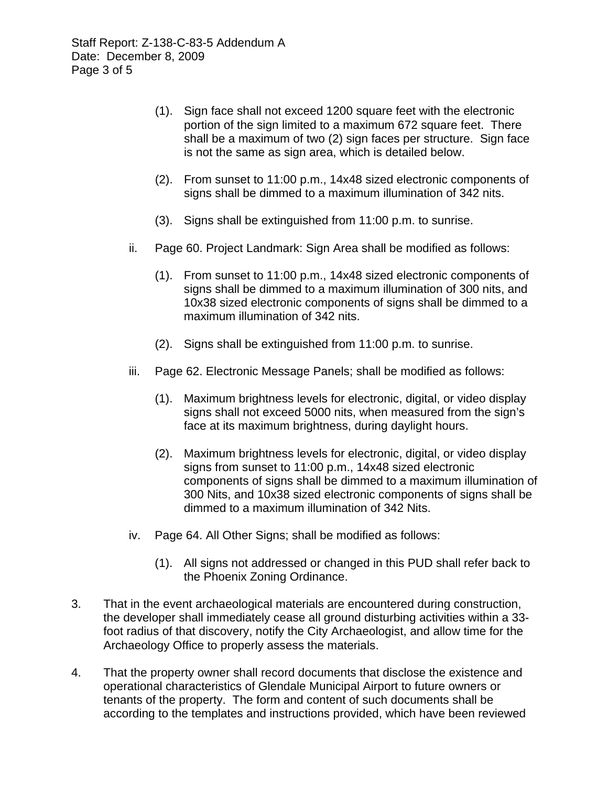- (1). Sign face shall not exceed 1200 square feet with the electronic portion of the sign limited to a maximum 672 square feet. There shall be a maximum of two (2) sign faces per structure. Sign face is not the same as sign area, which is detailed below.
- (2). From sunset to 11:00 p.m., 14x48 sized electronic components of signs shall be dimmed to a maximum illumination of 342 nits.
- (3). Signs shall be extinguished from 11:00 p.m. to sunrise.
- ii. Page 60. Project Landmark: Sign Area shall be modified as follows:
	- (1). From sunset to 11:00 p.m., 14x48 sized electronic components of signs shall be dimmed to a maximum illumination of 300 nits, and 10x38 sized electronic components of signs shall be dimmed to a maximum illumination of 342 nits.
	- (2). Signs shall be extinguished from 11:00 p.m. to sunrise.
- iii. Page 62. Electronic Message Panels; shall be modified as follows:
	- (1). Maximum brightness levels for electronic, digital, or video display signs shall not exceed 5000 nits, when measured from the sign's face at its maximum brightness, during daylight hours.
	- (2). Maximum brightness levels for electronic, digital, or video display signs from sunset to 11:00 p.m., 14x48 sized electronic components of signs shall be dimmed to a maximum illumination of 300 Nits, and 10x38 sized electronic components of signs shall be dimmed to a maximum illumination of 342 Nits.
- iv. Page 64. All Other Signs; shall be modified as follows:
	- (1). All signs not addressed or changed in this PUD shall refer back to the Phoenix Zoning Ordinance.
- 3. That in the event archaeological materials are encountered during construction, the developer shall immediately cease all ground disturbing activities within a 33 foot radius of that discovery, notify the City Archaeologist, and allow time for the Archaeology Office to properly assess the materials.
- 4. That the property owner shall record documents that disclose the existence and operational characteristics of Glendale Municipal Airport to future owners or tenants of the property. The form and content of such documents shall be according to the templates and instructions provided, which have been reviewed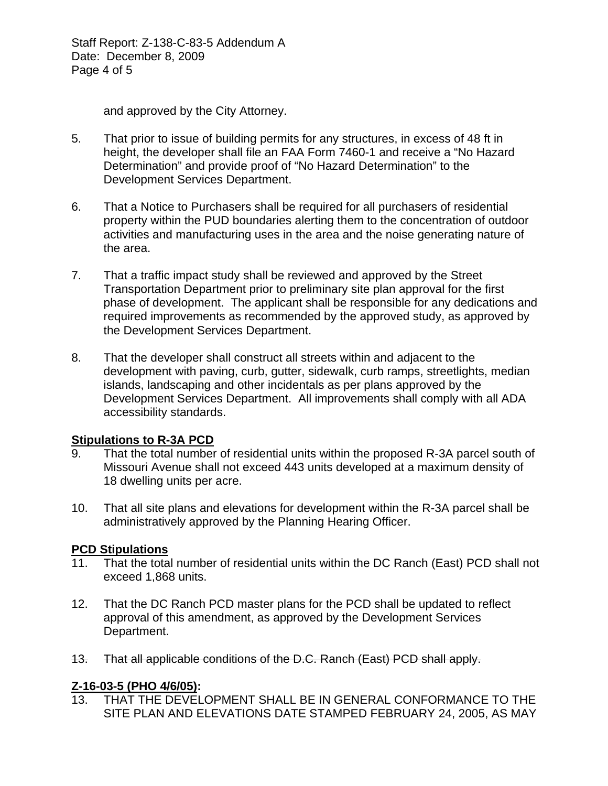Staff Report: Z-138-C-83-5 Addendum A Date: December 8, 2009 Page 4 of 5

and approved by the City Attorney.

- 5. That prior to issue of building permits for any structures, in excess of 48 ft in height, the developer shall file an FAA Form 7460-1 and receive a "No Hazard Determination" and provide proof of "No Hazard Determination" to the Development Services Department.
- 6. That a Notice to Purchasers shall be required for all purchasers of residential property within the PUD boundaries alerting them to the concentration of outdoor activities and manufacturing uses in the area and the noise generating nature of the area.
- 7. That a traffic impact study shall be reviewed and approved by the Street Transportation Department prior to preliminary site plan approval for the first phase of development. The applicant shall be responsible for any dedications and required improvements as recommended by the approved study, as approved by the Development Services Department.
- 8. That the developer shall construct all streets within and adjacent to the development with paving, curb, gutter, sidewalk, curb ramps, streetlights, median islands, landscaping and other incidentals as per plans approved by the Development Services Department. All improvements shall comply with all ADA accessibility standards.

### **Stipulations to R-3A PCD**

- 9. That the total number of residential units within the proposed R-3A parcel south of Missouri Avenue shall not exceed 443 units developed at a maximum density of 18 dwelling units per acre.
- 10. That all site plans and elevations for development within the R-3A parcel shall be administratively approved by the Planning Hearing Officer.

### **PCD Stipulations**

- 11. That the total number of residential units within the DC Ranch (East) PCD shall not exceed 1,868 units.
- 12. That the DC Ranch PCD master plans for the PCD shall be updated to reflect approval of this amendment, as approved by the Development Services Department.
- 13. That all applicable conditions of the D.C. Ranch (East) PCD shall apply.

### **Z-16-03-5 (PHO 4/6/05):**

13. THAT THE DEVELOPMENT SHALL BE IN GENERAL CONFORMANCE TO THE SITE PLAN AND ELEVATIONS DATE STAMPED FEBRUARY 24, 2005, AS MAY